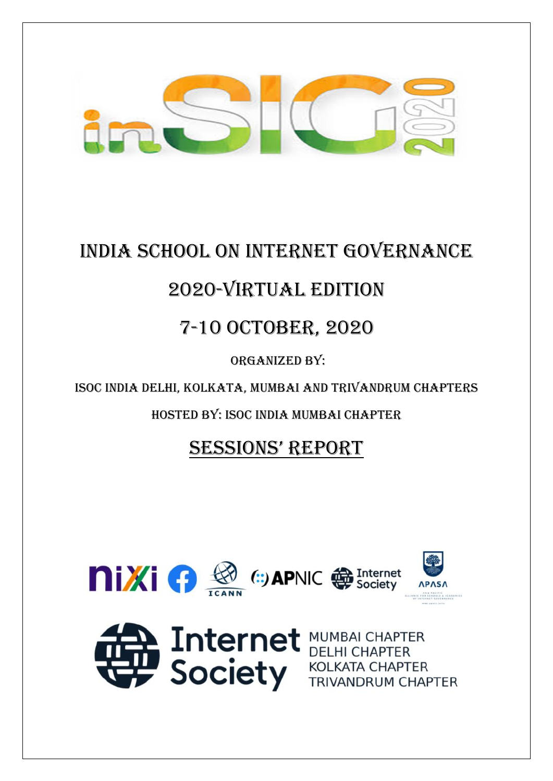

# INDIA SCHOOL ON INTERNET GOVERNANCE

# 2020-virtual edition

# 7-10 OCTOBER, 2020

organized by:

isoc india Delhi, Kolkata, mumBAI and Trivandrum chapters

Hosted by: ISOC INDIA MUMBAI CHAPTER

## SESSIONS' REPORT



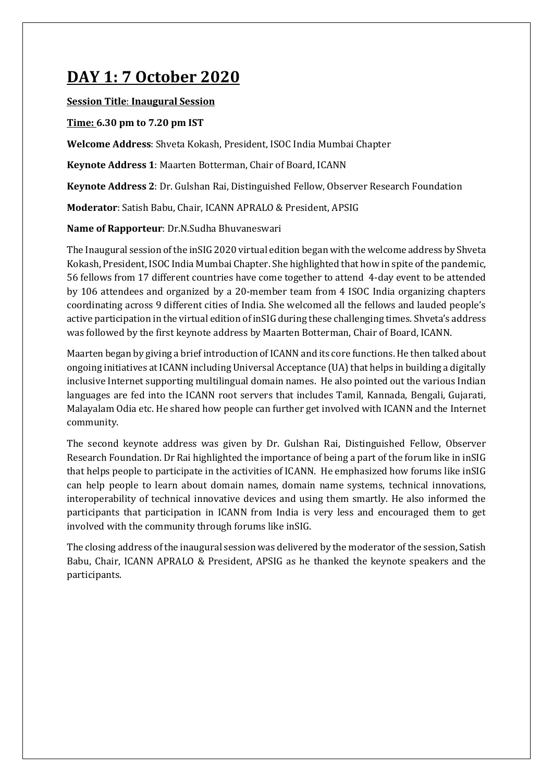## **DAY 1: 7 October 2020**

#### **Session Title**: **Inaugural Session**

#### **Time: 6.30 pm to 7.20 pm IST**

**Welcome Address**: Shveta Kokash, President, ISOC India Mumbai Chapter

**Keynote Address 1**: Maarten Botterman, Chair of Board, ICANN

**Keynote Address 2**: Dr. Gulshan Rai, Distinguished Fellow, Observer Research Foundation

**Moderator**: Satish Babu, Chair, ICANN APRALO & President, APSIG

**Name of Rapporteur**: Dr.N.Sudha Bhuvaneswari

The Inaugural session of the inSIG 2020 virtual edition began with the welcome address by Shveta Kokash, President, ISOC India Mumbai Chapter. She highlighted that how in spite of the pandemic, 56 fellows from 17 different countries have come together to attend 4-day event to be attended by 106 attendees and organized by a 20-member team from 4 ISOC India organizing chapters coordinating across 9 different cities of India. She welcomed all the fellows and lauded people's active participation in the virtual edition of inSIG during these challenging times. Shveta's address was followed by the first keynote address by Maarten Botterman, Chair of Board, ICANN.

Maarten began by giving a brief introduction of ICANN and its core functions. He then talked about ongoing initiatives at ICANN including Universal Acceptance (UA) that helps in building a digitally inclusive Internet supporting multilingual domain names. He also pointed out the various Indian languages are fed into the ICANN root servers that includes Tamil, Kannada, Bengali, Gujarati, Malayalam Odia etc. He shared how people can further get involved with ICANN and the Internet community.

The second keynote address was given by Dr. Gulshan Rai, Distinguished Fellow, Observer Research Foundation. Dr Rai highlighted the importance of being a part of the forum like in inSIG that helps people to participate in the activities of ICANN. He emphasized how forums like inSIG can help people to learn about domain names, domain name systems, technical innovations, interoperability of technical innovative devices and using them smartly. He also informed the participants that participation in ICANN from India is very less and encouraged them to get involved with the community through forums like inSIG.

The closing address of the inaugural session was delivered by the moderator of the session, Satish Babu, Chair, ICANN APRALO & President, APSIG as he thanked the keynote speakers and the participants.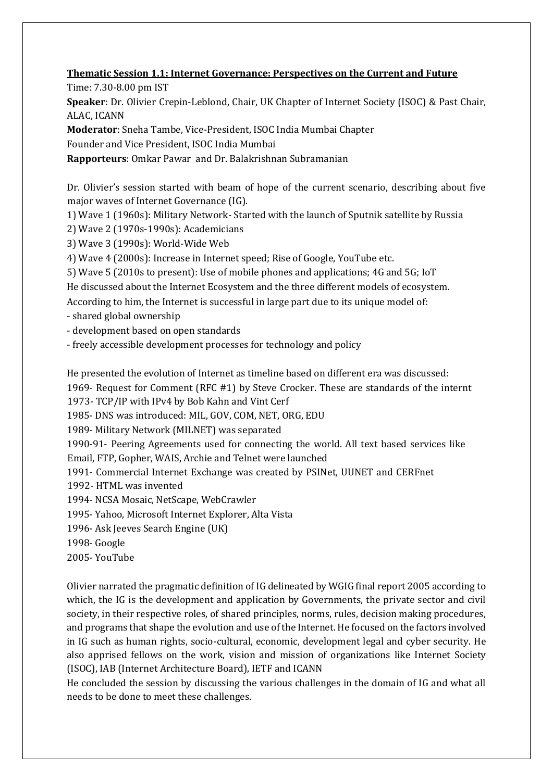#### **Thematic Session 1.1: Internet Governance: Perspectives on the Current and Future**

Time: 7.30-8.00 pm IST

**Speaker**: Dr. Olivier Crepin-Leblond, Chair, UK Chapter of Internet Society (ISOC) & Past Chair, ALAC, ICANN

**Moderator**: Sneha Tambe, Vice-President, ISOC India Mumbai Chapter

Founder and Vice President, ISOC India Mumbai

**Rapporteurs**: Omkar Pawar and Dr. Balakrishnan Subramanian

Dr. Olivier's session started with beam of hope of the current scenario, describing about five major waves of Internet Governance (IG).

1) Wave 1 (1960s): Military Network- Started with the launch of Sputnik satellite by Russia

2) Wave 2 (1970s-1990s): Academicians

3) Wave 3 (1990s): World-Wide Web

4) Wave 4 (2000s): Increase in Internet speed; Rise of Google, YouTube etc.

5) Wave 5 (2010s to present): Use of mobile phones and applications; 4G and 5G; IoT

He discussed about the Internet Ecosystem and the three different models of ecosystem.

According to him, the Internet is successful in large part due to its unique model of:

- shared global ownership

- development based on open standards

- freely accessible development processes for technology and policy

He presented the evolution of Internet as timeline based on different era was discussed:

1969- Request for Comment (RFC #1) by Steve Crocker. These are standards of the internt

1973- TCP/IP with IPv4 by Bob Kahn and Vint Cerf

1985- DNS was introduced: MIL, GOV, COM, NET, ORG, EDU

1989- Military Network (MILNET) was separated

1990-91- Peering Agreements used for connecting the world. All text based services like

Email, FTP, Gopher, WAIS, Archie and Telnet were launched

1991- Commercial Internet Exchange was created by PSINet, UUNET and CERFnet

1992- HTML was invented

1994- NCSA Mosaic, NetScape, WebCrawler

1995- Yahoo, Microsoft Internet Explorer, Alta Vista

1996- Ask Jeeves Search Engine (UK)

1998- Google

2005- YouTube

Olivier narrated the pragmatic definition of IG delineated by WGIG final report 2005 according to which, the IG is the development and application by Governments, the private sector and civil society, in their respective roles, of shared principles, norms, rules, decision making procedures, and programs that shape the evolution and use of the Internet. He focused on the factors involved in IG such as human rights, socio-cultural, economic, development legal and cyber security. He also apprised fellows on the work, vision and mission of organizations like Internet Society (ISOC), IAB (Internet Architecture Board), IETF and ICANN

He concluded the session by discussing the various challenges in the domain of IG and what all needs to be done to meet these challenges.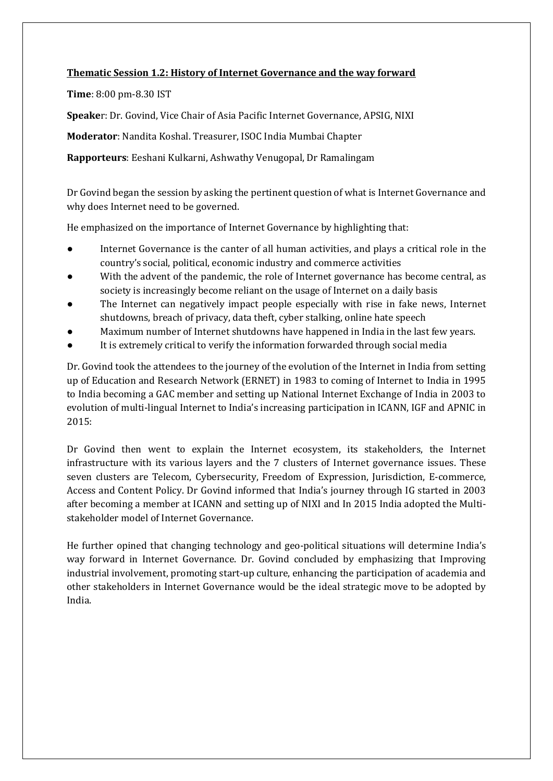#### **Thematic Session 1.2: History of Internet Governance and the way forward**

**Time**: 8:00 pm-8.30 IST

**Speake**r: Dr. Govind, Vice Chair of Asia Pacific Internet Governance, APSIG, NIXI

**Moderator**: Nandita Koshal. Treasurer, ISOC India Mumbai Chapter

**Rapporteurs**: Eeshani Kulkarni, Ashwathy Venugopal, Dr Ramalingam

Dr Govind began the session by asking the pertinent question of what is Internet Governance and why does Internet need to be governed.

He emphasized on the importance of Internet Governance by highlighting that:

- Internet Governance is the canter of all human activities, and plays a critical role in the country's social, political, economic industry and commerce activities
- With the advent of the pandemic, the role of Internet governance has become central, as society is increasingly become reliant on the usage of Internet on a daily basis
- The Internet can negatively impact people especially with rise in fake news, Internet shutdowns, breach of privacy, data theft, cyber stalking, online hate speech
- Maximum number of Internet shutdowns have happened in India in the last few years.
- It is extremely critical to verify the information forwarded through social media

Dr. Govind took the attendees to the journey of the evolution of the Internet in India from setting up of Education and Research Network (ERNET) in 1983 to coming of Internet to India in 1995 to India becoming a GAC member and setting up National Internet Exchange of India in 2003 to evolution of multi-lingual Internet to India's increasing participation in ICANN, IGF and APNIC in 2015:

Dr Govind then went to explain the Internet ecosystem, its stakeholders, the Internet infrastructure with its various layers and the 7 clusters of Internet governance issues. These seven clusters are Telecom, Cybersecurity, Freedom of Expression, Jurisdiction, E-commerce, Access and Content Policy. Dr Govind informed that India's journey through IG started in 2003 after becoming a member at ICANN and setting up of NIXI and In 2015 India adopted the Multistakeholder model of Internet Governance.

He further opined that changing technology and geo-political situations will determine India's way forward in Internet Governance. Dr. Govind concluded by emphasizing that Improving industrial involvement, promoting start-up culture, enhancing the participation of academia and other stakeholders in Internet Governance would be the ideal strategic move to be adopted by India.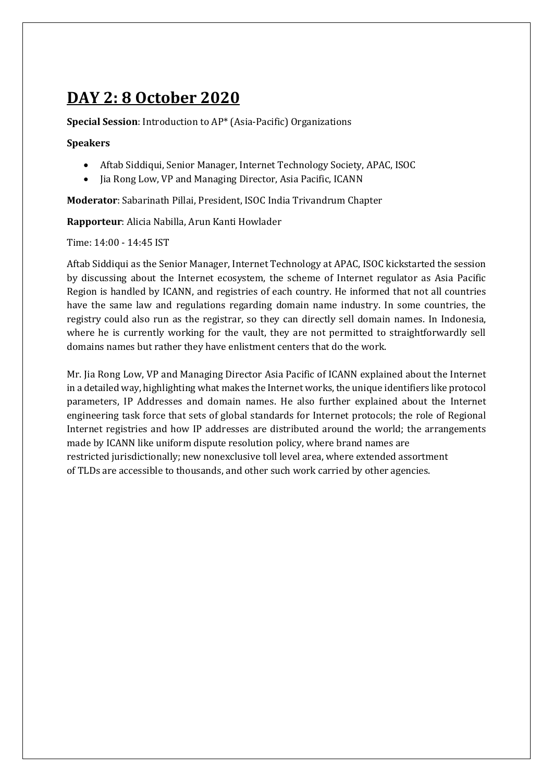## **DAY 2: 8 October 2020**

**Special Session**: Introduction to AP\* (Asia-Pacific) Organizations

#### **Speakers**

- Aftab Siddiqui, Senior Manager, Internet Technology Society, APAC, ISOC
- Jia Rong Low, VP and Managing Director, Asia Pacific, ICANN

**Moderator**: Sabarinath Pillai, President, ISOC India Trivandrum Chapter

**Rapporteur**: Alicia Nabilla, Arun Kanti Howlader

Time: 14:00 - 14:45 IST

Aftab Siddiqui as the Senior Manager, Internet Technology at APAC, ISOC kickstarted the session by discussing about the Internet ecosystem, the scheme of Internet regulator as Asia Pacific Region is handled by ICANN, and registries of each country. He informed that not all countries have the same law and regulations regarding domain name industry. In some countries, the registry could also run as the registrar, so they can directly sell domain names. In Indonesia, where he is currently working for the vault, they are not permitted to straightforwardly sell domains names but rather they have enlistment centers that do the work.

Mr. Jia Rong Low, VP and Managing Director Asia Pacific of ICANN explained about the Internet in a detailed way, highlighting what makes the Internet works, the unique identifiers like protocol parameters, IP Addresses and domain names. He also further explained about the Internet engineering task force that sets of global standards for Internet protocols; the role of Regional Internet registries and how IP addresses are distributed around the world; the arrangements made by ICANN like uniform dispute resolution policy, where brand names are restricted jurisdictionally; new nonexclusive toll level area, where extended assortment of TLDs are accessible to thousands, and other such work carried by other agencies.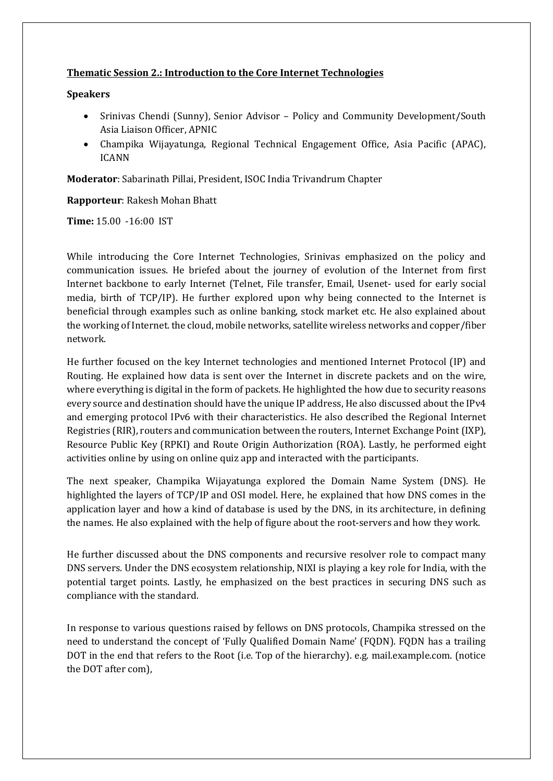#### **Thematic Session 2.: Introduction to the Core Internet Technologies**

#### **Speakers**

- Srinivas Chendi (Sunny), Senior Advisor Policy and Community Development/South Asia Liaison Officer, APNIC
- Champika Wijayatunga, Regional Technical Engagement Office, Asia Pacific (APAC), ICANN

**Moderator**: Sabarinath Pillai, President, ISOC India Trivandrum Chapter

**Rapporteur**: Rakesh Mohan Bhatt

**Time:** 15.00 -16:00 IST

 While introducing the Core Internet Technologies, Srinivas emphasized on the policy and communication issues. He briefed about the journey of evolution of the Internet from first Internet backbone to early Internet (Telnet, File transfer, Email, Usenet- used for early social media, birth of TCP/IP). He further explored upon why being connected to the Internet is beneficial through examples such as online banking, stock market etc. He also explained about the working of Internet. the cloud, mobile networks, satellite wireless networks and copper/fiber network.

 He further focused on the key Internet technologies and mentioned Internet Protocol (IP) and Routing. He explained how data is sent over the Internet in discrete packets and on the wire, where everything is digital in the form of packets. He highlighted the how due to security reasons every source and destination should have the unique IP address, He also discussed about the IPv4 and emerging protocol IPv6 with their characteristics. He also described the Regional Internet Registries (RIR), routers and communication between the routers, Internet Exchange Point (IXP), Resource Public Key (RPKI) and Route Origin Authorization (ROA). Lastly, he performed eight activities online by using on online quiz app and interacted with the participants.

 The next speaker, Champika Wijayatunga explored the Domain Name System (DNS). He highlighted the layers of TCP/IP and OSI model. Here, he explained that how DNS comes in the application layer and how a kind of database is used by the DNS, in its architecture, in defining the names. He also explained with the help of figure about the root-servers and how they work.

 He further discussed about the DNS components and recursive resolver role to compact many DNS servers. Under the DNS ecosystem relationship, NIXI is playing a key role for India, with the potential target points. Lastly, he emphasized on the best practices in securing DNS such as compliance with the standard.

 In response to various questions raised by fellows on DNS protocols, Champika stressed on the need to understand the concept of 'Fully Qualified Domain Name' (FQDN). FQDN has a trailing DOT in the end that refers to the Root (i.e. Top of the hierarchy). e.g. mail.example.com. (notice the DOT after com),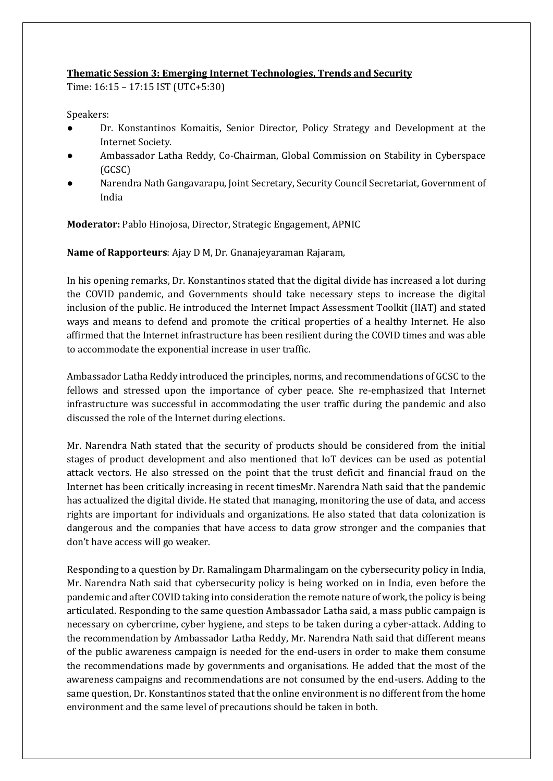#### **Thematic Session 3: Emerging Internet Technologies, Trends and Security**

Time: 16:15 – 17:15 IST (UTC+5:30)

Speakers:

- Dr. Konstantinos Komaitis, Senior Director, Policy Strategy and Development at the Internet Society.
- Ambassador Latha Reddy, Co-Chairman, Global Commission on Stability in Cyberspace (GCSC)
- Narendra Nath Gangavarapu, Joint Secretary, Security Council Secretariat, Government of India

**Moderator:** Pablo Hinojosa, Director, Strategic Engagement, APNIC

**Name of Rapporteurs**: Ajay D M, Dr. Gnanajeyaraman Rajaram,

In his opening remarks, Dr. Konstantinos stated that the digital divide has increased a lot during the COVID pandemic, and Governments should take necessary steps to increase the digital inclusion of the public. He introduced the Internet Impact Assessment Toolkit (IIAT) and stated ways and means to defend and promote the critical properties of a healthy Internet. He also affirmed that the Internet infrastructure has been resilient during the COVID times and was able to accommodate the exponential increase in user traffic.

Ambassador Latha Reddy introduced the principles, norms, and recommendations of GCSC to the fellows and stressed upon the importance of cyber peace. She re-emphasized that Internet infrastructure was successful in accommodating the user traffic during the pandemic and also discussed the role of the Internet during elections.

Mr. Narendra Nath stated that the security of products should be considered from the initial stages of product development and also mentioned that IoT devices can be used as potential attack vectors. He also stressed on the point that the trust deficit and financial fraud on the Internet has been critically increasing in recent timesMr. Narendra Nath said that the pandemic has actualized the digital divide. He stated that managing, monitoring the use of data, and access rights are important for individuals and organizations. He also stated that data colonization is dangerous and the companies that have access to data grow stronger and the companies that don't have access will go weaker.

Responding to a question by Dr. Ramalingam Dharmalingam on the cybersecurity policy in India, Mr. Narendra Nath said that cybersecurity policy is being worked on in India, even before the pandemic and after COVID taking into consideration the remote nature of work, the policy is being articulated. Responding to the same question Ambassador Latha said, a mass public campaign is necessary on cybercrime, cyber hygiene, and steps to be taken during a cyber-attack. Adding to the recommendation by Ambassador Latha Reddy, Mr. Narendra Nath said that different means of the public awareness campaign is needed for the end-users in order to make them consume the recommendations made by governments and organisations. He added that the most of the awareness campaigns and recommendations are not consumed by the end-users. Adding to the same question, Dr. Konstantinos stated that the online environment is no different from the home environment and the same level of precautions should be taken in both.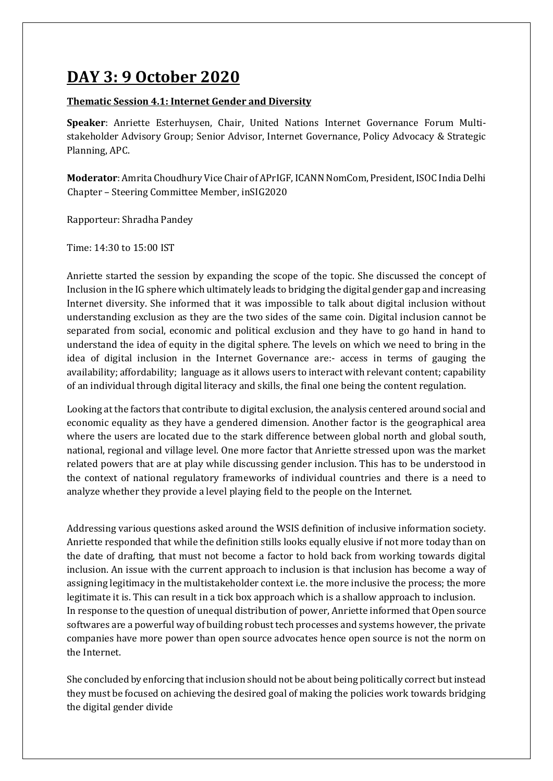### **DAY 3: 9 October 2020**

#### **Thematic Session 4.1: Internet Gender and Diversity**

**Speaker**: Anriette Esterhuysen, Chair, United Nations Internet Governance Forum Multistakeholder Advisory Group; Senior Advisor, Internet Governance, Policy Advocacy & Strategic Planning, APC.

**Moderator**: Amrita Choudhury Vice Chair of APrIGF, ICANN NomCom, President, ISOC India Delhi Chapter – Steering Committee Member, inSIG2020

Rapporteur: Shradha Pandey

Time: 14:30 to 15:00 IST

Anriette started the session by expanding the scope of the topic. She discussed the concept of Inclusion in the IG sphere which ultimately leads to bridging the digital gender gap and increasing Internet diversity. She informed that it was impossible to talk about digital inclusion without understanding exclusion as they are the two sides of the same coin. Digital inclusion cannot be separated from social, economic and political exclusion and they have to go hand in hand to understand the idea of equity in the digital sphere. The levels on which we need to bring in the idea of digital inclusion in the Internet Governance are:- access in terms of gauging the availability; affordability; language as it allows users to interact with relevant content; capability of an individual through digital literacy and skills, the final one being the content regulation.

Looking at the factors that contribute to digital exclusion, the analysis centered around social and economic equality as they have a gendered dimension. Another factor is the geographical area where the users are located due to the stark difference between global north and global south, national, regional and village level. One more factor that Anriette stressed upon was the market related powers that are at play while discussing gender inclusion. This has to be understood in the context of national regulatory frameworks of individual countries and there is a need to analyze whether they provide a level playing field to the people on the Internet.

Addressing various questions asked around the WSIS definition of inclusive information society. Anriette responded that while the definition stills looks equally elusive if not more today than on the date of drafting, that must not become a factor to hold back from working towards digital inclusion. An issue with the current approach to inclusion is that inclusion has become a way of assigning legitimacy in the multistakeholder context i.e. the more inclusive the process; the more legitimate it is. This can result in a tick box approach which is a shallow approach to inclusion. In response to the question of unequal distribution of power, Anriette informed that Open source softwares are a powerful way of building robust tech processes and systems however, the private companies have more power than open source advocates hence open source is not the norm on the Internet.

She concluded by enforcing that inclusion should not be about being politically correct but instead they must be focused on achieving the desired goal of making the policies work towards bridging the digital gender divide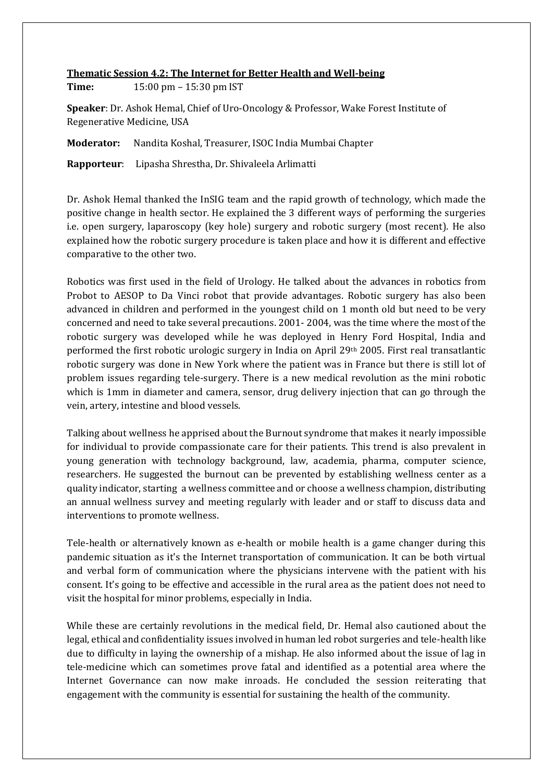#### **Thematic Session 4.2: The Internet for Better Health and Well-being**

**Time:** 15:00 pm – 15:30 pm IST

**Speaker**: Dr. Ashok Hemal, Chief of Uro-Oncology & Professor, Wake Forest Institute of Regenerative Medicine, USA

**Moderator:** Nandita Koshal, Treasurer, ISOC India Mumbai Chapter

**Rapporteur**: Lipasha Shrestha, Dr. Shivaleela Arlimatti

Dr. Ashok Hemal thanked the InSIG team and the rapid growth of technology, which made the positive change in health sector. He explained the 3 different ways of performing the surgeries i.e. open surgery, laparoscopy (key hole) surgery and robotic surgery (most recent). He also explained how the robotic surgery procedure is taken place and how it is different and effective comparative to the other two.

Robotics was first used in the field of Urology. He talked about the advances in robotics from Probot to AESOP to Da Vinci robot that provide advantages. Robotic surgery has also been advanced in children and performed in the youngest child on 1 month old but need to be very concerned and need to take several precautions. 2001- 2004, was the time where the most of the robotic surgery was developed while he was deployed in Henry Ford Hospital, India and performed the first robotic urologic surgery in India on April 29th 2005. First real transatlantic robotic surgery was done in New York where the patient was in France but there is still lot of problem issues regarding tele-surgery. There is a new medical revolution as the mini robotic which is 1mm in diameter and camera, sensor, drug delivery injection that can go through the vein, artery, intestine and blood vessels.

Talking about wellness he apprised about the Burnout syndrome that makes it nearly impossible for individual to provide compassionate care for their patients. This trend is also prevalent in young generation with technology background, law, academia, pharma, computer science, researchers. He suggested the burnout can be prevented by establishing wellness center as a quality indicator, starting a wellness committee and or choose a wellness champion, distributing an annual wellness survey and meeting regularly with leader and or staff to discuss data and interventions to promote wellness.

Tele-health or alternatively known as e-health or mobile health is a game changer during this pandemic situation as it's the Internet transportation of communication. It can be both virtual and verbal form of communication where the physicians intervene with the patient with his consent. It's going to be effective and accessible in the rural area as the patient does not need to visit the hospital for minor problems, especially in India.

While these are certainly revolutions in the medical field, Dr. Hemal also cautioned about the legal, ethical and confidentiality issues involved in human led robot surgeries and tele-health like due to difficulty in laying the ownership of a mishap. He also informed about the issue of lag in tele-medicine which can sometimes prove fatal and identified as a potential area where the Internet Governance can now make inroads. He concluded the session reiterating that engagement with the community is essential for sustaining the health of the community.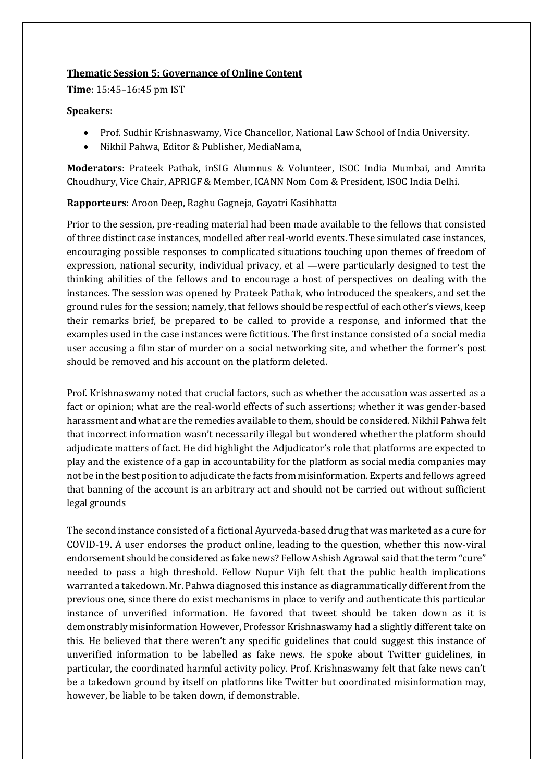#### **Thematic Session 5: Governance of Online Content**

**Time**: 15:45–16:45 pm IST

#### **Speakers**:

- Prof. Sudhir Krishnaswamy, Vice Chancellor, National Law School of India University.
- Nikhil Pahwa, Editor & Publisher, MediaNama,

**Moderators**: Prateek Pathak, inSIG Alumnus & Volunteer, ISOC India Mumbai, and Amrita Choudhury, Vice Chair, APRIGF & Member, ICANN Nom Com & President, ISOC India Delhi.

#### **Rapporteurs**: Aroon Deep, Raghu Gagneja, Gayatri Kasibhatta

Prior to the session, pre-reading material had been made available to the fellows that consisted of three distinct case instances, modelled after real-world events. These simulated case instances, encouraging possible responses to complicated situations touching upon themes of freedom of expression, national security, individual privacy, et al —were particularly designed to test the thinking abilities of the fellows and to encourage a host of perspectives on dealing with the instances. The session was opened by Prateek Pathak, who introduced the speakers, and set the ground rules for the session; namely, that fellows should be respectful of each other's views, keep their remarks brief, be prepared to be called to provide a response, and informed that the examples used in the case instances were fictitious. The first instance consisted of a social media user accusing a film star of murder on a social networking site, and whether the former's post should be removed and his account on the platform deleted.

Prof. Krishnaswamy noted that crucial factors, such as whether the accusation was asserted as a fact or opinion; what are the real-world effects of such assertions; whether it was gender-based harassment and what are the remedies available to them, should be considered. Nikhil Pahwa felt that incorrect information wasn't necessarily illegal but wondered whether the platform should adjudicate matters of fact. He did highlight the Adjudicator's role that platforms are expected to play and the existence of a gap in accountability for the platform as social media companies may not be in the best position to adjudicate the facts from misinformation. Experts and fellows agreed that banning of the account is an arbitrary act and should not be carried out without sufficient legal grounds

The second instance consisted of a fictional Ayurveda-based drug that was marketed as a cure for COVID-19. A user endorses the product online, leading to the question, whether this now-viral endorsement should be considered as fake news? Fellow Ashish Agrawal said that the term "cure" needed to pass a high threshold. Fellow Nupur Vijh felt that the public health implications warranted a takedown. Mr. Pahwa diagnosed this instance as diagrammatically different from the previous one, since there do exist mechanisms in place to verify and authenticate this particular instance of unverified information. He favored that tweet should be taken down as it is demonstrably misinformation However, Professor Krishnaswamy had a slightly different take on this. He believed that there weren't any specific guidelines that could suggest this instance of unverified information to be labelled as fake news. He spoke about Twitter guidelines, in particular, the coordinated harmful activity policy. Prof. Krishnaswamy felt that fake news can't be a takedown ground by itself on platforms like Twitter but coordinated misinformation may, however, be liable to be taken down, if demonstrable.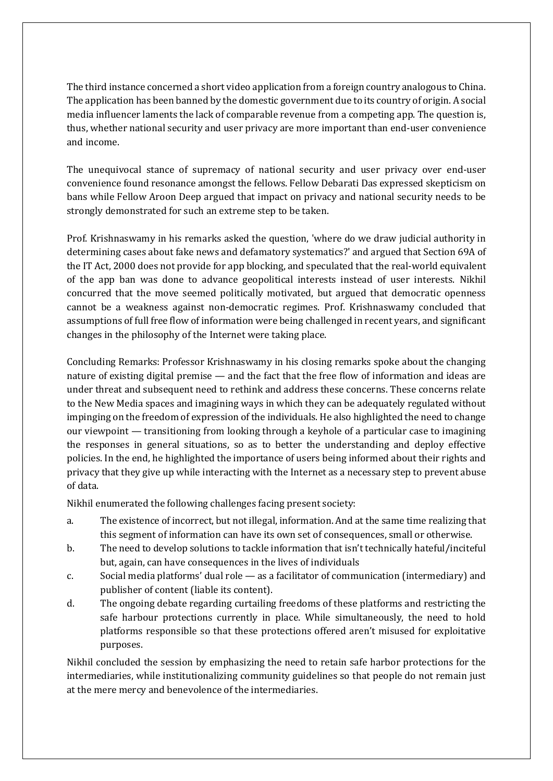The third instance concerned a short video application from a foreign country analogous to China. The application has been banned by the domestic government due to its country of origin. A social media influencer laments the lack of comparable revenue from a competing app. The question is, thus, whether national security and user privacy are more important than end-user convenience and income.

The unequivocal stance of supremacy of national security and user privacy over end-user convenience found resonance amongst the fellows. Fellow Debarati Das expressed skepticism on bans while Fellow Aroon Deep argued that impact on privacy and national security needs to be strongly demonstrated for such an extreme step to be taken.

Prof. Krishnaswamy in his remarks asked the question, 'where do we draw judicial authority in determining cases about fake news and defamatory systematics?' and argued that Section 69A of the IT Act, 2000 does not provide for app blocking, and speculated that the real-world equivalent of the app ban was done to advance geopolitical interests instead of user interests. Nikhil concurred that the move seemed politically motivated, but argued that democratic openness cannot be a weakness against non-democratic regimes. Prof. Krishnaswamy concluded that assumptions of full free flow of information were being challenged in recent years, and significant changes in the philosophy of the Internet were taking place.

Concluding Remarks: Professor Krishnaswamy in his closing remarks spoke about the changing nature of existing digital premise — and the fact that the free flow of information and ideas are under threat and subsequent need to rethink and address these concerns. These concerns relate to the New Media spaces and imagining ways in which they can be adequately regulated without impinging on the freedom of expression of the individuals. He also highlighted the need to change our viewpoint — transitioning from looking through a keyhole of a particular case to imagining the responses in general situations, so as to better the understanding and deploy effective policies. In the end, he highlighted the importance of users being informed about their rights and privacy that they give up while interacting with the Internet as a necessary step to prevent abuse of data.

Nikhil enumerated the following challenges facing present society:

- a. The existence of incorrect, but not illegal, information. And at the same time realizing that this segment of information can have its own set of consequences, small or otherwise.
- b. The need to develop solutions to tackle information that isn't technically hateful/inciteful but, again, can have consequences in the lives of individuals
- c. Social media platforms' dual role as a facilitator of communication (intermediary) and publisher of content (liable its content).
- d. The ongoing debate regarding curtailing freedoms of these platforms and restricting the safe harbour protections currently in place. While simultaneously, the need to hold platforms responsible so that these protections offered aren't misused for exploitative purposes.

Nikhil concluded the session by emphasizing the need to retain safe harbor protections for the intermediaries, while institutionalizing community guidelines so that people do not remain just at the mere mercy and benevolence of the intermediaries.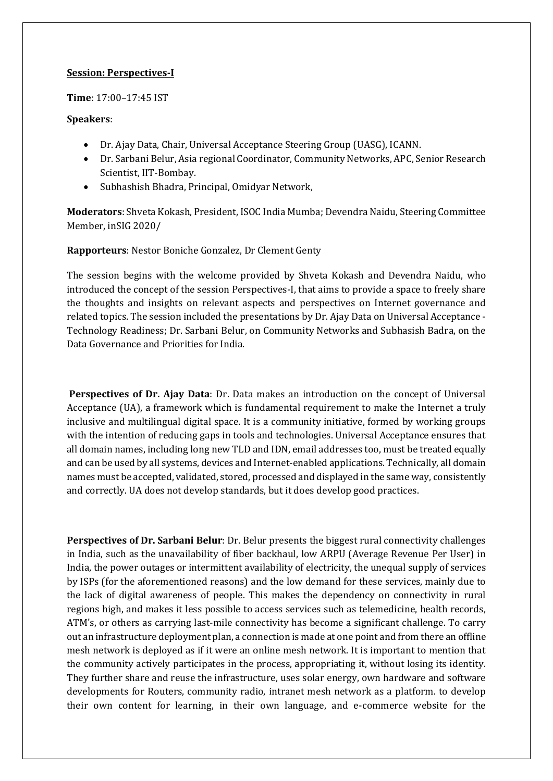#### **Session: Perspectives-I**

**Time**: 17:00–17:45 IST

#### **Speakers**:

- Dr. Ajay Data, Chair, Universal Acceptance Steering Group (UASG), ICANN.
- Dr. Sarbani Belur, Asia regional Coordinator, Community Networks, APC, Senior Research Scientist, IIT-Bombay.
- Subhashish Bhadra, Principal, Omidyar Network,

**Moderators**: Shveta Kokash, President, ISOC India Mumba; Devendra Naidu, Steering Committee Member, inSIG 2020/

**Rapporteurs**: Nestor Boniche Gonzalez, Dr Clement Genty

The session begins with the welcome provided by Shveta Kokash and Devendra Naidu, who introduced the concept of the session Perspectives-I, that aims to provide a space to freely share the thoughts and insights on relevant aspects and perspectives on Internet governance and related topics. The session included the presentations by Dr. Ajay Data on Universal Acceptance - Technology Readiness; Dr. Sarbani Belur, on Community Networks and Subhasish Badra, on the Data Governance and Priorities for India.

**Perspectives of Dr. Ajay Data**: Dr. Data makes an introduction on the concept of Universal Acceptance (UA), a framework which is fundamental requirement to make the Internet a truly inclusive and multilingual digital space. It is a community initiative, formed by working groups with the intention of reducing gaps in tools and technologies. Universal Acceptance ensures that all domain names, including long new TLD and IDN, email addresses too, must be treated equally and can be used by all systems, devices and Internet-enabled applications. Technically, all domain names must be accepted, validated, stored, processed and displayed in the same way, consistently and correctly. UA does not develop standards, but it does develop good practices.

**Perspectives of Dr. Sarbani Belur**: Dr. Belur presents the biggest rural connectivity challenges in India, such as the unavailability of fiber backhaul, low ARPU (Average Revenue Per User) in India, the power outages or intermittent availability of electricity, the unequal supply of services by ISPs (for the aforementioned reasons) and the low demand for these services, mainly due to the lack of digital awareness of people. This makes the dependency on connectivity in rural regions high, and makes it less possible to access services such as telemedicine, health records, ATM's, or others as carrying last-mile connectivity has become a significant challenge. To carry out an infrastructure deployment plan, a connection is made at one point and from there an offline mesh network is deployed as if it were an online mesh network. It is important to mention that the community actively participates in the process, appropriating it, without losing its identity. They further share and reuse the infrastructure, uses solar energy, own hardware and software developments for Routers, community radio, intranet mesh network as a platform. to develop their own content for learning, in their own language, and e-commerce website for the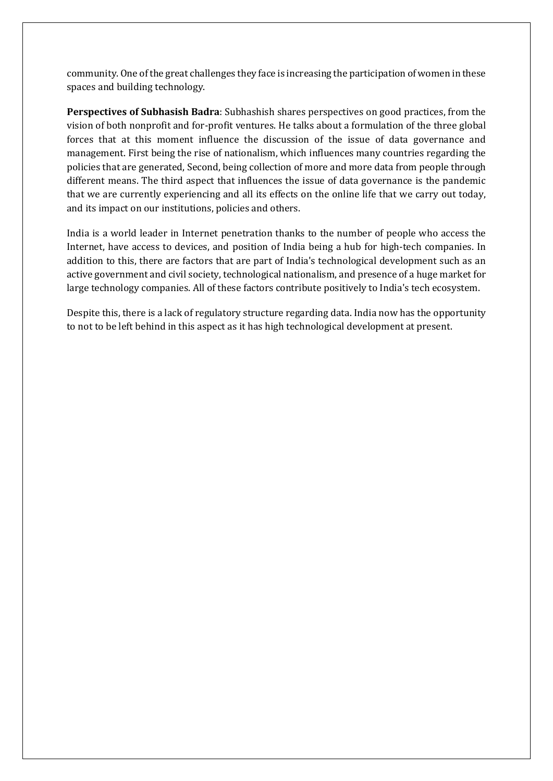community. One of the great challenges they face is increasing the participation of women in these spaces and building technology.

**Perspectives of Subhasish Badra**: Subhashish shares perspectives on good practices, from the vision of both nonprofit and for-profit ventures. He talks about a formulation of the three global forces that at this moment influence the discussion of the issue of data governance and management. First being the rise of nationalism, which influences many countries regarding the policies that are generated, Second, being collection of more and more data from people through different means. The third aspect that influences the issue of data governance is the pandemic that we are currently experiencing and all its effects on the online life that we carry out today, and its impact on our institutions, policies and others.

India is a world leader in Internet penetration thanks to the number of people who access the Internet, have access to devices, and position of India being a hub for high-tech companies. In addition to this, there are factors that are part of India's technological development such as an active government and civil society, technological nationalism, and presence of a huge market for large technology companies. All of these factors contribute positively to India's tech ecosystem.

Despite this, there is a lack of regulatory structure regarding data. India now has the opportunity to not to be left behind in this aspect as it has high technological development at present.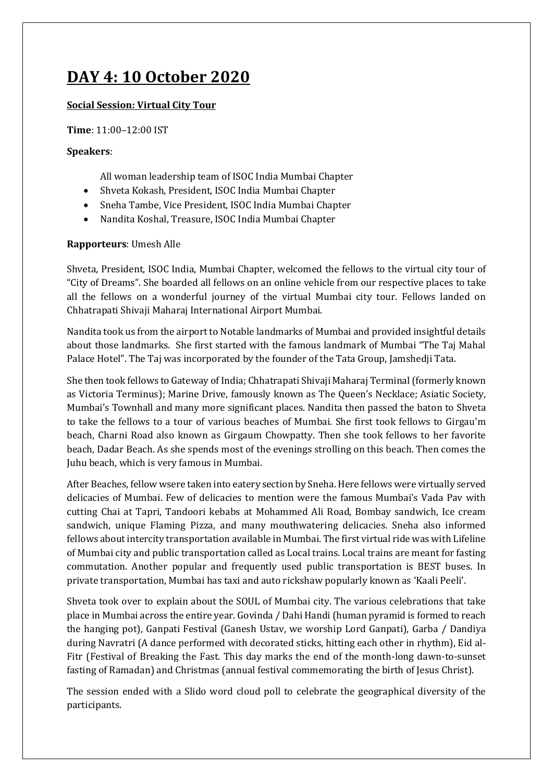## **DAY 4: 10 October 2020**

#### **Social Session: Virtual City Tour**

**Time**: 11:00–12:00 IST

#### **Speakers**:

- All woman leadership team of ISOC India Mumbai Chapter
- Shveta Kokash, President, ISOC India Mumbai Chapter
- Sneha Tambe, Vice President, ISOC India Mumbai Chapter
- Nandita Koshal, Treasure, ISOC India Mumbai Chapter

#### **Rapporteurs**: Umesh Alle

Shveta, President, ISOC India, Mumbai Chapter, welcomed the fellows to the virtual city tour of "City of Dreams". She boarded all fellows on an online vehicle from our respective places to take all the fellows on a wonderful journey of the virtual Mumbai city tour. Fellows landed on Chhatrapati Shivaji Maharaj International Airport Mumbai.

Nandita took us from the airport to Notable landmarks of Mumbai and provided insightful details about those landmarks. She first started with the famous landmark of Mumbai "The Taj Mahal Palace Hotel". The Taj was incorporated by the founder of the Tata Group, Jamshedji Tata.

She then took fellows to Gateway of India; Chhatrapati Shivaji Maharaj Terminal (formerly known as Victoria Terminus); Marine Drive, famously known as The Queen's Necklace; Asiatic Society, Mumbai's Townhall and many more significant places. Nandita then passed the baton to Shveta to take the fellows to a tour of various beaches of Mumbai. She first took fellows to Girgau'm beach, Charni Road also known as Girgaum Chowpatty. Then she took fellows to her favorite beach, Dadar Beach. As she spends most of the evenings strolling on this beach. Then comes the Juhu beach, which is very famous in Mumbai.

After Beaches, fellow wsere taken into eatery section by Sneha. Here fellows were virtually served delicacies of Mumbai. Few of delicacies to mention were the famous Mumbai's Vada Pav with cutting Chai at Tapri, Tandoori kebabs at Mohammed Ali Road, Bombay sandwich, Ice cream sandwich, unique Flaming Pizza, and many mouthwatering delicacies. Sneha also informed fellows about intercity transportation available in Mumbai. The first virtual ride was with Lifeline of Mumbai city and public transportation called as Local trains. Local trains are meant for fasting commutation. Another popular and frequently used public transportation is BEST buses. In private transportation, Mumbai has taxi and auto rickshaw popularly known as 'Kaali Peeli'.

Shveta took over to explain about the SOUL of Mumbai city. The various celebrations that take place in Mumbai across the entire year. Govinda / Dahi Handi (human pyramid is formed to reach the hanging pot), Ganpati Festival (Ganesh Ustav, we worship Lord Ganpati), Garba / Dandiya during Navratri (A dance performed with decorated sticks, hitting each other in rhythm), Eid al-Fitr (Festival of Breaking the Fast. This day marks the end of the month-long dawn-to-sunset fasting of Ramadan) and Christmas (annual festival commemorating the birth of Jesus Christ).

The session ended with a Slido word cloud poll to celebrate the geographical diversity of the participants.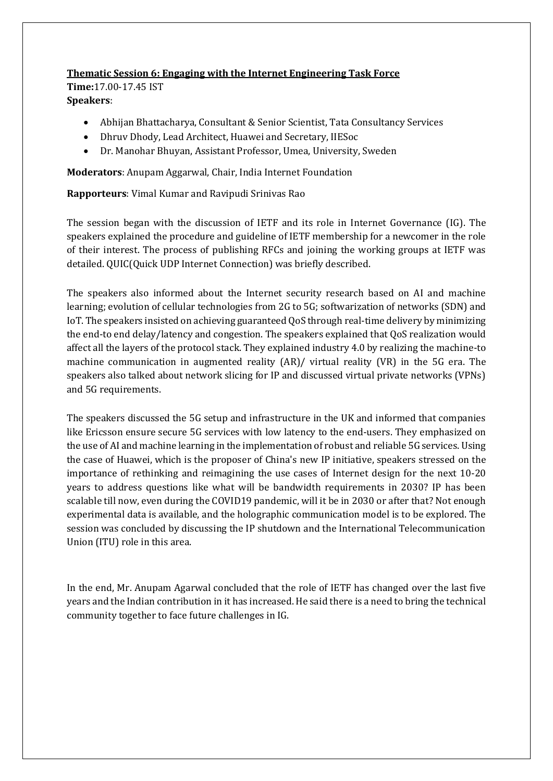### **Thematic Session 6: Engaging with the Internet Engineering Task Force**

**Time:**17.00-17.45 IST **Speakers**:

- Abhijan Bhattacharya, Consultant & Senior Scientist, Tata Consultancy Services
- Dhruv Dhody, Lead Architect, Huawei and Secretary, IIESoc
- Dr. Manohar Bhuyan, Assistant Professor, Umea, University, Sweden

**Moderators**: Anupam Aggarwal, Chair, India Internet Foundation

**Rapporteurs**: Vimal Kumar and Ravipudi Srinivas Rao

The session began with the discussion of IETF and its role in Internet Governance (IG). The speakers explained the procedure and guideline of IETF membership for a newcomer in the role of their interest. The process of publishing RFCs and joining the working groups at IETF was detailed. QUIC(Quick UDP Internet Connection) was briefly described.

The speakers also informed about the Internet security research based on AI and machine learning; evolution of cellular technologies from 2G to 5G; softwarization of networks (SDN) and IoT. The speakers insisted on achieving guaranteed QoS through real-time delivery by minimizing the end-to end delay/latency and congestion. The speakers explained that QoS realization would affect all the layers of the protocol stack. They explained industry 4.0 by realizing the machine-to machine communication in augmented reality (AR)/ virtual reality (VR) in the 5G era. The speakers also talked about network slicing for IP and discussed virtual private networks (VPNs) and 5G requirements.

The speakers discussed the 5G setup and infrastructure in the UK and informed that companies like Ericsson ensure secure 5G services with low latency to the end-users. They emphasized on the use of AI and machine learning in the implementation of robust and reliable 5G services. Using the case of Huawei, which is the proposer of China's new IP initiative, speakers stressed on the importance of rethinking and reimagining the use cases of Internet design for the next 10-20 years to address questions like what will be bandwidth requirements in 2030? IP has been scalable till now, even during the COVID19 pandemic, will it be in 2030 or after that? Not enough experimental data is available, and the holographic communication model is to be explored. The session was concluded by discussing the IP shutdown and the International Telecommunication Union (ITU) role in this area.

In the end, Mr. Anupam Agarwal concluded that the role of IETF has changed over the last five years and the Indian contribution in it has increased. He said there is a need to bring the technical community together to face future challenges in IG.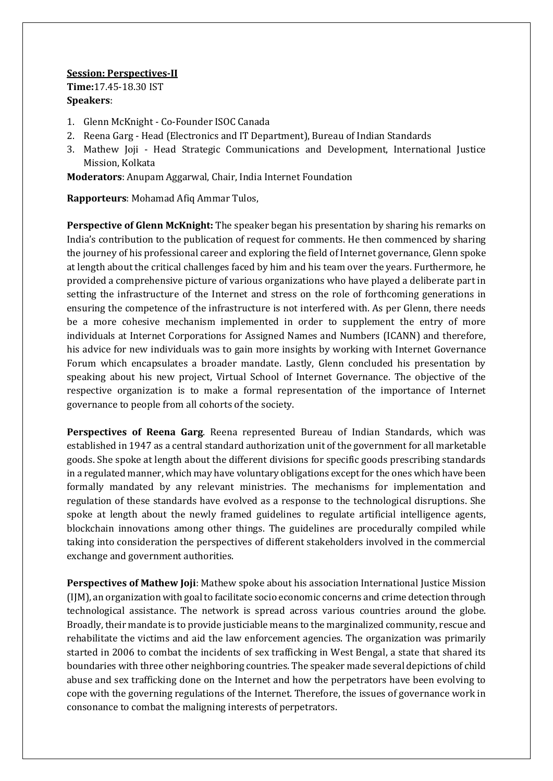### **Session: Perspectives-II Time:**17.45-18.30 IST **Speakers**:

- 1. Glenn McKnight Co-Founder ISOC Canada
- 2. Reena Garg Head (Electronics and IT Department), Bureau of Indian Standards
- 3. Mathew Joji Head Strategic Communications and Development, International Justice Mission, Kolkata

**Moderators**: Anupam Aggarwal, Chair, India Internet Foundation

**Rapporteurs**: Mohamad Afiq Ammar Tulos,

**Perspective of Glenn McKnight:** The speaker began his presentation by sharing his remarks on India's contribution to the publication of request for comments. He then commenced by sharing the journey of his professional career and exploring the field of Internet governance, Glenn spoke at length about the critical challenges faced by him and his team over the years. Furthermore, he provided a comprehensive picture of various organizations who have played a deliberate part in setting the infrastructure of the Internet and stress on the role of forthcoming generations in ensuring the competence of the infrastructure is not interfered with. As per Glenn, there needs be a more cohesive mechanism implemented in order to supplement the entry of more individuals at Internet Corporations for Assigned Names and Numbers (ICANN) and therefore, his advice for new individuals was to gain more insights by working with Internet Governance Forum which encapsulates a broader mandate. Lastly, Glenn concluded his presentation by speaking about his new project, Virtual School of Internet Governance. The objective of the respective organization is to make a formal representation of the importance of Internet governance to people from all cohorts of the society.

**Perspectives of Reena Garg**. Reena represented Bureau of Indian Standards, which was established in 1947 as a central standard authorization unit of the government for all marketable goods. She spoke at length about the different divisions for specific goods prescribing standards in a regulated manner, which may have voluntary obligations except for the ones which have been formally mandated by any relevant ministries. The mechanisms for implementation and regulation of these standards have evolved as a response to the technological disruptions. She spoke at length about the newly framed guidelines to regulate artificial intelligence agents, blockchain innovations among other things. The guidelines are procedurally compiled while taking into consideration the perspectives of different stakeholders involved in the commercial exchange and government authorities.

**Perspectives of Mathew Joji**: Mathew spoke about his association International Justice Mission (IJM), an organization with goal to facilitate socio economic concerns and crime detection through technological assistance. The network is spread across various countries around the globe. Broadly, their mandate is to provide justiciable means to the marginalized community, rescue and rehabilitate the victims and aid the law enforcement agencies. The organization was primarily started in 2006 to combat the incidents of sex trafficking in West Bengal, a state that shared its boundaries with three other neighboring countries. The speaker made several depictions of child abuse and sex trafficking done on the Internet and how the perpetrators have been evolving to cope with the governing regulations of the Internet. Therefore, the issues of governance work in consonance to combat the maligning interests of perpetrators.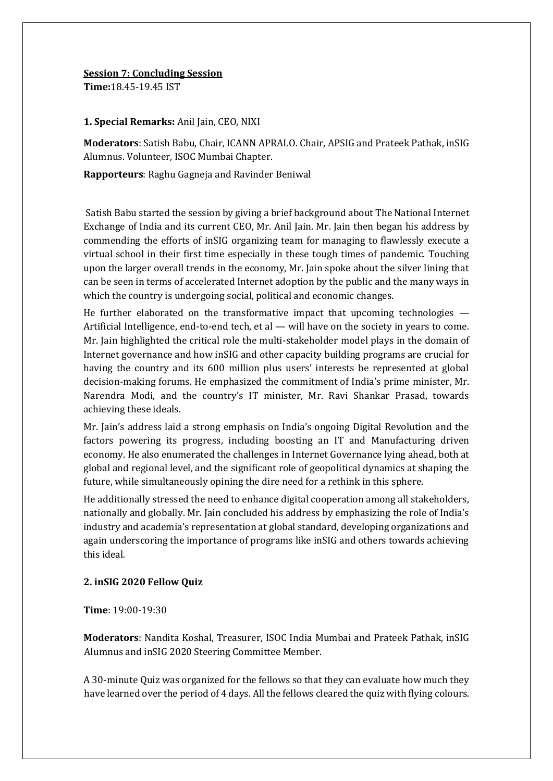#### **Session 7: Concluding Session**

**Time:**18.45-19.45 IST

#### **1. Special Remarks:** Anil Jain, CEO, NIXI

**Moderators**: Satish Babu, Chair, ICANN APRALO. Chair, APSIG and Prateek Pathak, inSIG Alumnus. Volunteer, ISOC Mumbai Chapter.

**Rapporteurs**: Raghu Gagneja and Ravinder Beniwal

Satish Babu started the session by giving a brief background about The National Internet Exchange of India and its current CEO, Mr. Anil Jain. Mr. Jain then began his address by commending the efforts of inSIG organizing team for managing to flawlessly execute a virtual school in their first time especially in these tough times of pandemic. Touching upon the larger overall trends in the economy, Mr. Jain spoke about the silver lining that can be seen in terms of accelerated Internet adoption by the public and the many ways in which the country is undergoing social, political and economic changes.

He further elaborated on the transformative impact that upcoming technologies — Artificial Intelligence, end-to-end tech, et al — will have on the society in years to come. Mr. Jain highlighted the critical role the multi-stakeholder model plays in the domain of Internet governance and how inSIG and other capacity building programs are crucial for having the country and its 600 million plus users' interests be represented at global decision-making forums. He emphasized the commitment of India's prime minister, Mr. Narendra Modi, and the country's IT minister, Mr. Ravi Shankar Prasad, towards achieving these ideals.

Mr. Jain's address laid a strong emphasis on India's ongoing Digital Revolution and the factors powering its progress, including boosting an IT and Manufacturing driven economy. He also enumerated the challenges in Internet Governance lying ahead, both at global and regional level, and the significant role of geopolitical dynamics at shaping the future, while simultaneously opining the dire need for a rethink in this sphere.

He additionally stressed the need to enhance digital cooperation among all stakeholders, nationally and globally. Mr. Jain concluded his address by emphasizing the role of India's industry and academia's representation at global standard, developing organizations and again underscoring the importance of programs like inSIG and others towards achieving this ideal.

#### **2. inSIG 2020 Fellow Quiz**

**Time**: 19:00-19:30

**Moderators**: Nandita Koshal, Treasurer, ISOC India Mumbai and Prateek Pathak, inSIG Alumnus and inSIG 2020 Steering Committee Member.

A 30-minute Quiz was organized for the fellows so that they can evaluate how much they have learned over the period of 4 days. All the fellows cleared the quiz with flying colours.